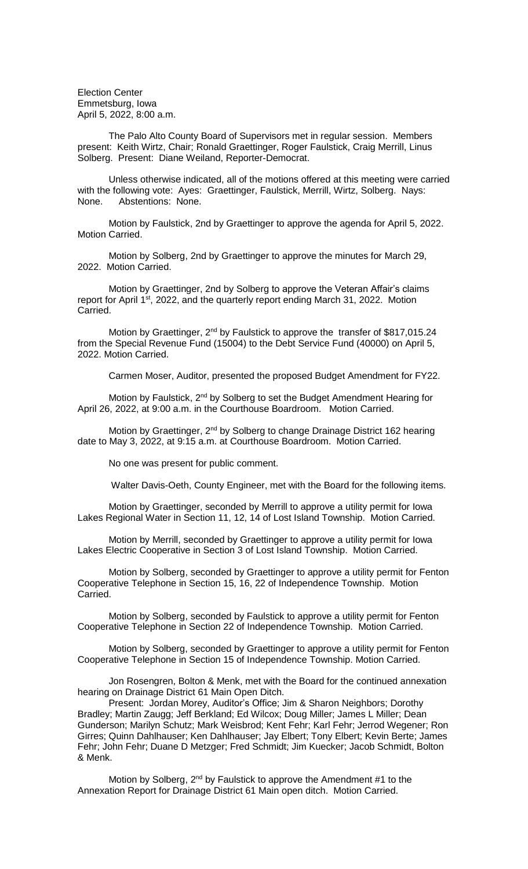Election Center Emmetsburg, Iowa April 5, 2022, 8:00 a.m.

The Palo Alto County Board of Supervisors met in regular session. Members present: Keith Wirtz, Chair; Ronald Graettinger, Roger Faulstick, Craig Merrill, Linus Solberg. Present: Diane Weiland, Reporter-Democrat.

Unless otherwise indicated, all of the motions offered at this meeting were carried with the following vote: Ayes: Graettinger, Faulstick, Merrill, Wirtz, Solberg. Nays: None. Abstentions: None.

Motion by Faulstick, 2nd by Graettinger to approve the agenda for April 5, 2022. Motion Carried.

Motion by Solberg, 2nd by Graettinger to approve the minutes for March 29, 2022. Motion Carried.

Motion by Graettinger, 2nd by Solberg to approve the Veteran Affair's claims report for April 1<sup>st</sup>, 2022, and the quarterly report ending March 31, 2022. Motion Carried.

Motion by Graettinger, 2<sup>nd</sup> by Faulstick to approve the transfer of \$817,015.24 from the Special Revenue Fund (15004) to the Debt Service Fund (40000) on April 5, 2022. Motion Carried.

Carmen Moser, Auditor, presented the proposed Budget Amendment for FY22.

Motion by Faulstick, 2<sup>nd</sup> by Solberg to set the Budget Amendment Hearing for April 26, 2022, at 9:00 a.m. in the Courthouse Boardroom. Motion Carried.

Motion by Graettinger, 2<sup>nd</sup> by Solberg to change Drainage District 162 hearing date to May 3, 2022, at 9:15 a.m. at Courthouse Boardroom. Motion Carried.

No one was present for public comment.

Walter Davis-Oeth, County Engineer, met with the Board for the following items.

Motion by Graettinger, seconded by Merrill to approve a utility permit for Iowa Lakes Regional Water in Section 11, 12, 14 of Lost Island Township. Motion Carried.

Motion by Merrill, seconded by Graettinger to approve a utility permit for Iowa Lakes Electric Cooperative in Section 3 of Lost Island Township. Motion Carried.

Motion by Solberg, seconded by Graettinger to approve a utility permit for Fenton Cooperative Telephone in Section 15, 16, 22 of Independence Township. Motion Carried.

Motion by Solberg, seconded by Faulstick to approve a utility permit for Fenton Cooperative Telephone in Section 22 of Independence Township. Motion Carried.

Motion by Solberg, seconded by Graettinger to approve a utility permit for Fenton Cooperative Telephone in Section 15 of Independence Township. Motion Carried.

Jon Rosengren, Bolton & Menk, met with the Board for the continued annexation hearing on Drainage District 61 Main Open Ditch.

Present: Jordan Morey, Auditor's Office; Jim & Sharon Neighbors; Dorothy Bradley; Martin Zaugg; Jeff Berkland; Ed Wilcox; Doug Miller; James L Miller; Dean Gunderson; Marilyn Schutz; Mark Weisbrod; Kent Fehr; Karl Fehr; Jerrod Wegener; Ron Girres; Quinn Dahlhauser; Ken Dahlhauser; Jay Elbert; Tony Elbert; Kevin Berte; James Fehr; John Fehr; Duane D Metzger; Fred Schmidt; Jim Kuecker; Jacob Schmidt, Bolton & Menk.

Motion by Solberg, 2<sup>nd</sup> by Faulstick to approve the Amendment #1 to the Annexation Report for Drainage District 61 Main open ditch. Motion Carried.